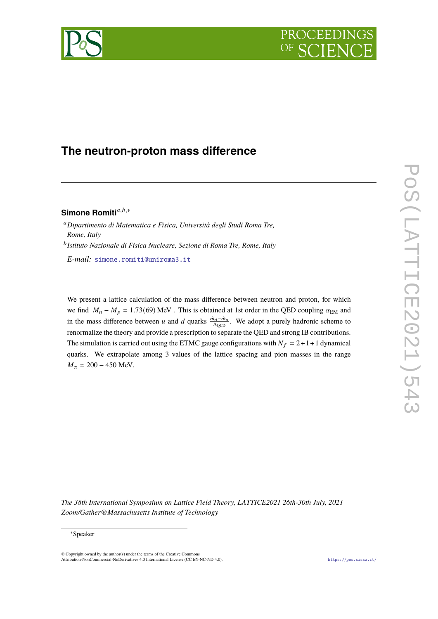

# **The neutron-proton mass difference**

# Simone Romiti<sup>a,b,∗</sup>

<sup>𝑎</sup>*Dipartimento di Matematica e Fisica, Università degli Studi Roma Tre, Rome, Italy* <sup>b</sup> Istituto Nazionale di Fisica Nucleare, Sezione di Roma Tre, Rome, Italy

*E-mail:* [simone.romiti@uniroma3.it](mailto:simone.romiti@uniroma3.it)

We present a lattice calculation of the mass difference between neutron and proton, for which we find  $M_n - M_p = 1.73(69)$  MeV. This is obtained at 1st order in the QED coupling  $\alpha_{EM}$  and in the mass difference between u and d quarks  $\frac{\hat{m}_d - \hat{m}_u}{\Lambda_{\text{QCD}}}$ . We adopt a purely hadronic scheme to renormalize the theory and provide a prescription to separate the QED and strong IB contributions. The simulation is carried out using the ETMC gauge configurations with  $N_f = 2 + 1 + 1$  dynamical quarks. We extrapolate among 3 values of the lattice spacing and pion masses in the range  $M_{\pi} \simeq 200 - 450$  MeV.

*The 38th International Symposium on Lattice Field Theory, LATTICE2021 26th-30th July, 2021 Zoom/Gather@Massachusetts Institute of Technology*

© Copyright owned by the author(s) under the terms of the Creative Commons Attribution-NonCommercial-NoDerivatives 4.0 International License (CC BY-NC-ND 4.0). <https://pos.sissa.it/>

<sup>∗</sup>Speaker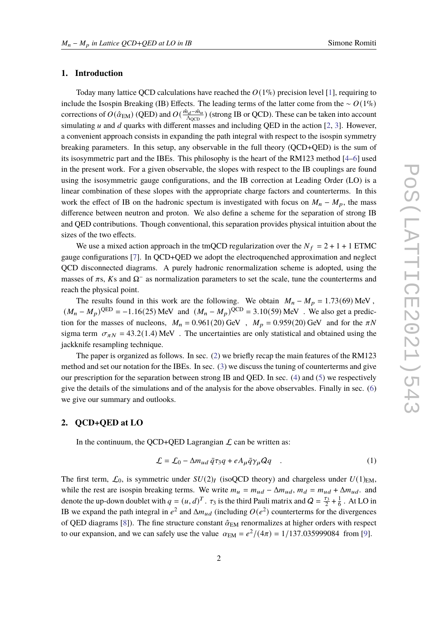# **1. Introduction**

Today many lattice QCD calculations have reached the  $O(1\%)$  precision level [\[1\]](#page-9-0), requiring to include the Isospin Breaking (IB) Effects. The leading terms of the latter come from the  $\sim O(1\%)$ corrections of  $O(\hat{\alpha}_{EM})$  (QED) and  $O(\frac{\hat{m}_d - \hat{m}_u}{\lambda_{QCD}})$  $\frac{\hat{h}_d - \hat{m}_u}{\Lambda_{\text{OCD}}}$ ) (strong IB or QCD). These can be taken into account simulating  $u$  and  $d$  quarks with different masses and including QED in the action [\[2,](#page-9-1) [3\]](#page-9-2). However, a convenient approach consists in expanding the path integral with respect to the isospin symmetry breaking parameters. In this setup, any observable in the full theory (QCD+QED) is the sum of its isosymmetric part and the IBEs. This philosophy is the heart of the RM123 method [\[4–](#page-9-3)[6\]](#page-10-0) used in the present work. For a given observable, the slopes with respect to the IB couplings are found using the isosymmetric gauge configurations, and the IB correction at Leading Order (LO) is a linear combination of these slopes with the appropriate charge factors and counterterms. In this work the effect of IB on the hadronic spectum is investigated with focus on  $M_n - M_p$ , the mass difference between neutron and proton. We also define a scheme for the separation of strong IB and QED contributions. Though conventional, this separation provides physical intuition about the sizes of the two effects.

We use a mixed action approach in the tmQCD regularization over the  $N_f = 2 + 1 + 1$  ETMC gauge configurations [\[7\]](#page-10-1). In QCD+QED we adopt the electroquenched approximation and neglect QCD disconnected diagrams. A purely hadronic renormalization scheme is adopted, using the masses of  $\pi s$ , Ks and  $\Omega^-$  as normalization parameters to set the scale, tune the counterterms and reach the physical point.

The results found in this work are the following. We obtain  $M_n - M_p = 1.73(69)$  MeV,  $(M_n - M_p)^{\text{QED}} = -1.16(25) \text{ MeV}$  and  $(M_n - M_p)^{\text{QCD}} = 3.10(59) \text{ MeV}$ . We also get a prediction for the masses of nucleons,  $M_n = 0.961(20)$  GeV,  $M_p = 0.959(20)$  GeV and for the  $\pi N$ sigma term  $\sigma_{\pi N}$  = 43.2(1.4) MeV. The uncertainties are only statistical and obtained using the jackknife resampling technique.

The paper is organized as follows. In sec. [\(2\)](#page-1-0) we briefly recap the main features of the RM123 method and set our notation for the IBEs. In sec. [\(3\)](#page-4-0) we discuss the tuning of counterterms and give our prescription for the separation between strong IB and QED. In sec. [\(4\)](#page-6-0) and [\(5\)](#page-7-0) we respectively give the details of the simulations and of the analysis for the above observables. Finally in sec. [\(6\)](#page-8-0) we give our summary and outlooks.

# <span id="page-1-0"></span>**2. QCD+QED at LO**

In the continuum, the QCD+QED Lagrangian  $\mathcal L$  can be written as:

$$
\mathcal{L} = \mathcal{L}_0 - \Delta m_{ud} \,\bar{q}\tau_3 q + eA_\mu \bar{q}\gamma_\mu Qq \quad . \tag{1}
$$

The first term,  $\mathcal{L}_0$ , is symmetric under  $SU(2)_I$  (isoQCD theory) and chargeless under  $U(1)_{EM}$ , while the rest are isospin breaking terms. We write  $m_u = m_{ud} - \Delta m_{ud}$ ,  $m_d = m_{ud} + \Delta m_{ud}$ . and denote the up-down doublet with  $q = (u, d)^T$ .  $\tau_3$  is the third Pauli matrix and  $Q = \frac{\tau_3}{2} + \frac{1}{6}$  $\frac{1}{6}$ . At LO in IB we expand the path integral in  $e^2$  and  $\Delta m_{ud}$  (including  $O(e^2)$  counterterms for the divergences of QED diagrams [\[8\]](#page-10-2)). The fine structure constant  $\hat{\alpha}_{EM}$  renormalizes at higher orders with respect to our expansion, and we can safely use the value  $\alpha_{EM} = e^2/(4\pi) = 1/137.035999084$  from [\[9\]](#page-10-3).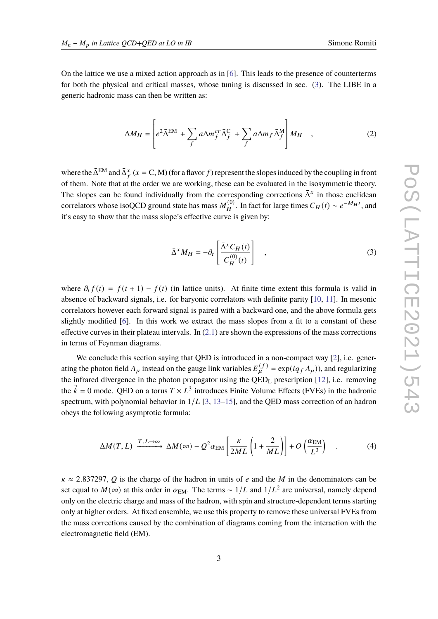On the lattice we use a mixed action approach as in [\[6\]](#page-10-0). This leads to the presence of counterterms for both the physical and critical masses, whose tuning is discussed in sec. [\(3\)](#page-4-0). The LIBE in a generic hadronic mass can then be written as:

$$
\Delta M_H = \left[ e^2 \bar{\Delta}^{EM} + \sum_f a \Delta m_f^{cr} \bar{\Delta}_f^C + \sum_f a \Delta m_f \bar{\Delta}_f^M \right] M_H \quad , \tag{2}
$$

where the  $\bar{\Delta}^{EM}$  and  $\bar{\Delta}^{x}_{f}$  ( $x = C, M$ ) (for a flavor  $f$ ) represent the slopes induced by the coupling in front of them. Note that at the order we are working, these can be evaluated in the isosymmetric theory. The slopes can be found individually from the corresponding corrections  $\bar{\Delta}^x$  in those euclidean correlators whose isoQCD ground state has mass  $M_H^{(0)}$ . In fact for large times  $C_H(t) \sim e^{-M_H t}$ , and it's easy to show that the mass slope's effective curve is given by:

<span id="page-2-0"></span>
$$
\bar{\Delta}^x M_H = -\partial_t \left[ \frac{\bar{\Delta}^x C_H(t)}{C_H^{(0)}(t)} \right] , \qquad (3)
$$

where  $\partial_t f(t) = f(t+1) - f(t)$  (in lattice units). At finite time extent this formula is valid in absence of backward signals, i.e. for baryonic correlators with definite parity [\[10,](#page-10-4) [11\]](#page-10-5). In mesonic correlators however each forward signal is paired with a backward one, and the above formula gets slightly modified [\[6\]](#page-10-0). In this work we extract the mass slopes from a fit to a constant of these effective curves in their plateau intervals. In  $(2.1)$  are shown the expressions of the mass corrections in terms of Feynman diagrams.

We conclude this section saying that QED is introduced in a non-compact way [\[2\]](#page-9-1), i.e. generating the photon field  $A_\mu$  instead on the gauge link variables  $E_\mu^{(f)} = \exp(i q_f A_\mu)$ , and regularizing the infrared divergence in the photon propagator using the  $QED<sub>L</sub>$  prescription [\[12\]](#page-10-6), i.e. removing the  $\vec{k} = 0$  mode. QED on a torus  $T \times L^3$  introduces Finite Volume Effects (FVEs) in the hadronic spectrum, with polynomial behavior in  $1/L$  [\[3,](#page-9-2) [13](#page-10-7)[–15\]](#page-10-8), and the QED mass correction of an hadron obeys the following asymptotic formula:

<span id="page-2-1"></span>
$$
\Delta M(T, L) \xrightarrow{T, L \to \infty} \Delta M(\infty) - Q^2 \alpha_{\rm EM} \left[ \frac{\kappa}{2ML} \left( 1 + \frac{2}{ML} \right) \right] + O\left( \frac{\alpha_{\rm EM}}{L^3} \right) \quad . \tag{4}
$$

 $\kappa \approx 2.837297$ , Q is the charge of the hadron in units of e and the M in the denominators can be set equal to  $M(\infty)$  at this order in  $\alpha_{EM}$ . The terms ~ 1/L and 1/L<sup>2</sup> are universal, namely depend only on the electric charge and mass of the hadron, with spin and structure-dependent terms starting only at higher orders. At fixed ensemble, we use this property to remove these universal FVEs from the mass corrections caused by the combination of diagrams coming from the interaction with the electromagnetic field (EM).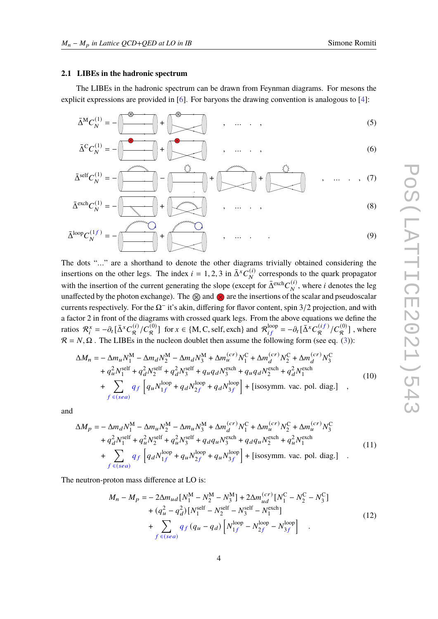# <span id="page-3-0"></span>**2.1 LIBEs in the hadronic spectrum**

The LIBEs in the hadronic spectrum can be drawn from Feynman diagrams. For mesons the explicit expressions are provided in [\[6\]](#page-10-0). For baryons the drawing convention is analogous to [\[4\]](#page-9-3):

<sup>Δ</sup>¯ <sup>M</sup><sup>𝐶</sup> (1) 𝑁 = − + , ... . , (5) <sup>Δ</sup>¯ <sup>C</sup><sup>𝐶</sup> (1) = − + , ... . , (6)

$$
\Delta C_N = - \frac{1}{\sqrt{2\pi}} \int_{0}^{1} + \frac{1}{\sqrt{2\pi}} \int_{0}^{\frac{1}{2} \cdot \frac{1}{2}} \frac{1}{\sqrt{2\pi}} \int_{0}^{\frac{1}{2} \cdot \frac{1}{2}} \frac{1}{\sqrt{2\pi}} \int_{0}^{\frac{1}{2} \cdot \frac{1}{2}} \frac{1}{\sqrt{2\pi}} \int_{0}^{\frac{1}{2} \cdot \frac{1}{2}} \frac{1}{\sqrt{2\pi}} \int_{0}^{\frac{1}{2} \cdot \frac{1}{2}} \frac{1}{\sqrt{2\pi}} \int_{0}^{\frac{1}{2} \cdot \frac{1}{2}} \frac{1}{\sqrt{2\pi}} \int_{0}^{\frac{1}{2} \cdot \frac{1}{2}} \frac{1}{\sqrt{2\pi}} \int_{0}^{\frac{1}{2} \cdot \frac{1}{2}} \frac{1}{\sqrt{2\pi}} \int_{0}^{\frac{1}{2} \cdot \frac{1}{2}} \frac{1}{\sqrt{2\pi}} \int_{0}^{\frac{1}{2} \cdot \frac{1}{2}} \frac{1}{\sqrt{2\pi}} \int_{0}^{\frac{1}{2} \cdot \frac{1}{2}} \frac{1}{\sqrt{2\pi}} \int_{0}^{\frac{1}{2} \cdot \frac{1}{2}} \frac{1}{\sqrt{2\pi}} \int_{0}^{\frac{1}{2} \cdot \frac{1}{2}} \frac{1}{\sqrt{2\pi}} \int_{0}^{\frac{1}{2} \cdot \frac{1}{2}} \frac{1}{\sqrt{2\pi}} \int_{0}^{\frac{1}{2} \cdot \frac{1}{2}} \frac{1}{\sqrt{2\pi}} \int_{0}^{\frac{1}{2} \cdot \frac{1}{2}} \frac{1}{\sqrt{2\pi}} \int_{0}^{\frac{1}{2} \cdot \frac{1}{2}} \frac{1}{\sqrt{2\pi}} \int_{0}^{\frac{1}{2} \cdot \frac{1}{2}} \frac{1}{\sqrt{2\pi}} \int_{0}^{\frac{1}{2} \cdot \frac{1}{2}} \frac{1}{\sqrt{2\pi}} \int_{0}^{\frac{1}{2} \cdot \frac{1}{2}} \frac{1}{\sqrt{2\pi}} \int_{0}^{\frac{1}{2} \cdot \frac{1}{2}} \frac{1}{\sqrt{2\pi}} \int_{0}^{\
$$

$$
\bar{\Delta}^{\text{exch}}C_N^{(1)} = -\sqrt{\frac{1}{\frac{1}{\sigma_{i_{\alpha_{i_{\alpha_{i}}}}}}\sigma_{i_{\alpha_{i_{\alpha_{i}}}}}} + \sqrt{\frac{1}{\sigma_{i_{\alpha_{i_{\alpha_{i}}}}}}\sigma_{i_{\alpha_{i_{\alpha_{i}}}}}}}}\,,\qquad \ldots \qquad , \qquad (8)
$$

$$
\bar{\Delta}^{\text{loop}}C_N^{(1f)} = -\underbrace{\left(\begin{array}{ccc} \sum_{s^{\text{new}}^{\text{new}}}\sum_{s^{\text{new}}}\left(\begin{array}{ccc} s^{\text{new}}\right)^{s^{\text{new}}}\left(\begin{array}{ccc} s^{\text{new}}\right)^{s^{\text{new}}}\left(\begin{array}{ccc} s^{\text{new}}\right)^{s^{\text{new}}}\left(\begin{array}{ccc} s^{\text{new}}\right)^{s^{\text{new}}}\left(\begin{array}{ccc} s^{\text{new}}\right)^{s^{\text{new}}}\left(\begin{array}{ccc} s^{\text{new}}\right)^{s^{\text{new}}}\left(\begin{array}{ccc} s^{\text{new}}\right)^{s^{\text{new}}}\left(\begin{array}{ccc} s^{\text{new}}\right)^{s^{\text{new}}}\left(\begin{array}{ccc} s^{\text{new}}\right)^{s^{\text{new}}}\left(\begin{array}{ccc} s^{\text{new}}\right)^{s^{\text{new}}}\left(\begin{array}{ccc} s^{\text{new}}\right)^{s^{\text{new}}}\left(\begin{array}{ccc} s^{\text{new}}\right)^{s^{\text{new}}}\left(\begin{array}{ccc} s^{\text{new}}\right)^{s^{\text{new}}}\left(\begin{array}{ccc} s^{\text{new}}\right)^{s^{\text{new}}}\left(\begin{array}{ccc} s^{\text{new}}\right)^{s^{\text{new}}}\left(\begin{array}{ccc} s^{\text{new}}\right)^{s^{\text{new}}}\left(\begin{array}{ccc} s^{\text{new}}\right)^{s^{\text{new}}}\left(\begin{array}{ccc} s^{\text{new}}\right)^{s^{\text{new}}}\left(\begin{array}{ccc} s^{\text{new}}\right)^{s^{\text{new}}}\left(\begin{array}{ccc} s^{\text{new}}\right)^{s^{\text{new}}}\left(\begin{array}{ccc} s^{\text{new}}\right)^{s^{\text{new}}}\left(\begin{array}{ccc} s^{\text{new}}\right)^{s^{\text{new}}}\left(\begin{array}{ccc} s^{\text{new}}\right)^{s^{\text{new}}}\left(\begin{array}{ccc} s^{\text{new}}\right)^{s^{\text{new}}}\left(\begin{array}{ccc} s^{\text{new}}\right)^{s^{\text{new}}}\left(\begin{array}{ccc} s^{\text{new}}\right)^{s^{\text{new}}
$$

The dots "..." are a shorthand to denote the other diagrams trivially obtained considering the insertions on the other legs. The index  $i = 1, 2, 3$  in  $\overline{\Delta}^X C_N^{(i)}$  corresponds to the quark propagator with the insertion of the current generating the slope (except for  $\bar{\Delta}^{exch}C_N^{(i)}$ , where *i* denotes the leg unaffected by the photon exchange). The  $\otimes$  and  $\otimes$  are the insertions of the scalar and pseudoscalar currents respectively. For the  $\Omega^-$  it's akin, differing for flavor content, spin 3/2 projection, and with a factor 2 in front of the diagrams with crossed quark legs. From the above equations we define the ratios  $\mathcal{R}_i^x = -\partial_t \left[ \bar{\Delta}^x C_{\mathcal{R}}^{(i)} \right]$  $\frac{d}{R}$  /  $C_{\mathcal{R}}^{(0)}$  $\mathcal{R}_{R}^{(0)}$ ] for  $x \in \{M, C, \text{self}, \text{exch}\}$  and  $\mathcal{R}_{if}^{\text{loop}}$  $\frac{\text{loop}}{if} = -\partial_t \left[ \bar{\Delta}^x C_{\mathcal{R}}^{(if)} \right]$  $\frac{f(i f)}{\mathcal{R}}/C_{\mathcal{R}}^{(0)}$  $\binom{(0)}{\mathcal{R}}$  , where  $\mathcal{R} = N$ ,  $\Omega$ . The LIBEs in the nucleon doublet then assume the following form (see eq. [\(3\)](#page-2-0)):

<span id="page-3-1"></span>
$$
\Delta M_n = -\Delta m_u N_1^M - \Delta m_d N_2^M - \Delta m_d N_3^M + \Delta m_u^{(cr)} N_1^C + \Delta m_d^{(cr)} N_2^C + \Delta m_d^{(cr)} N_3^C
$$
  
+  $q_u^2 N_1^{\text{self}} + q_d^2 N_2^{\text{self}} + q_d^2 N_3^{\text{self}} + q_u q_d N_3^{\text{exch}} + q_u q_d N_2^{\text{exch}} + q_d^2 N_1^{\text{exch}}$   
+  $\sum_{f \in (sea)} q_f \left[ q_u N_{1f}^{\text{loop}} + q_d N_{2f}^{\text{loop}} + q_d N_{3f}^{\text{loop}} \right] + \text{[isosymm. vac. pol. diag.]} ,$  (10)

and

<span id="page-3-2"></span>
$$
\Delta M_{p} = -\Delta m_{d} N_{1}^{M} - \Delta m_{u} N_{2}^{M} - \Delta m_{u} N_{3}^{M} + \Delta m_{d}^{(cr)} N_{1}^{C} + \Delta m_{u}^{(cr)} N_{2}^{C} + \Delta m_{u}^{(cr)} N_{3}^{C} + q_{d}^{2} N_{1}^{\text{self}} + q_{u}^{2} N_{2}^{\text{self}} + q_{d}^{2} N_{3}^{\text{self}} + q_{d} q_{u} N_{3}^{\text{exch}} + q_{d} q_{u} N_{2}^{\text{exch}} + q_{u}^{2} N_{1}^{\text{exch}} + \sum_{f \in (sea)} q_{f} \left[ q_{d} N_{1f}^{\text{loop}} + q_{u} N_{2f}^{\text{loop}} + q_{u} N_{3f}^{\text{loop}} \right] + \text{[isosymm. vac. pol. diag.]} \tag{11}
$$

The neutron-proton mass difference at LO is:

<span id="page-3-3"></span>
$$
M_n - M_p = -2\Delta m_{ud} [N_1^M - N_2^M - N_3^M] + 2\Delta m_{ud}^{(cr)} [N_1^C - N_2^C - N_3^C] + (q_u^2 - q_d^2) [N_1^{\text{self}} - N_2^{\text{self}} - N_3^{\text{self}} - N_1^{\text{exch}}] + \sum_{f \in (sea)} q_f (q_u - q_d) [N_{1f}^{\text{loop}} - N_{2f}^{\text{loop}} - N_{3f}^{\text{loop}}] .
$$
 (12)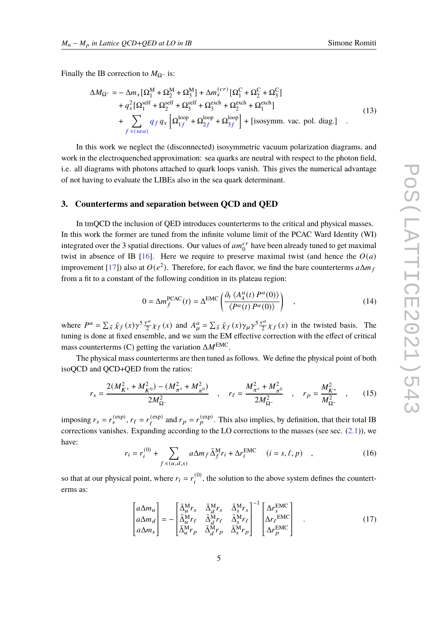Finally the IB correction to  $M_{\Omega}$ - is:

$$
\Delta M_{\Omega^{-}} = -\Delta m_{s} \left[\Omega_{1}^{\text{M}} + \Omega_{2}^{\text{M}} + \Omega_{3}^{\text{M}}\right] + \Delta m_{s}^{(cr)} \left[\Omega_{1}^{\text{C}} + \Omega_{2}^{\text{C}} + \Omega_{3}^{\text{C}}\right] + q_{s}^{2} \left[\Omega_{1}^{\text{self}} + \Omega_{2}^{\text{self}} + \Omega_{3}^{\text{exch}} + \Omega_{2}^{\text{exch}} + \Omega_{1}^{\text{exch}}\right] + \sum_{f \in (sea)} q_{f} q_{s} \left[\Omega_{1f}^{\text{loop}} + \Omega_{2f}^{\text{loop}} + \Omega_{3f}^{\text{loop}}\right] + \text{[isosymm. vac. pol. diag.]} \quad .
$$
\n(13)

In this work we neglect the (disconnected) isosymmetric vacuum polarization diagrams, and work in the electroquenched approximation: sea quarks are neutral with respect to the photon field, i.e. all diagrams with photons attached to quark loops vanish. This gives the numerical advantage of not having to evaluate the LIBEs also in the sea quark determinant.

#### <span id="page-4-0"></span>**3. Counterterms and separation between QCD and QED**

In tmQCD the inclusion of QED introduces counterterms to the critical and physical masses. In this work the former are tuned from the infinite volume limit of the PCAC Ward Identity (WI) integrated over the 3 spatial directions. Our values of  $am_0^{cr}$  have been already tuned to get maximal twist in absence of IB [\[16\]](#page-10-9). Here we require to preserve maximal twist (and hence the  $O(a)$ ) improvement [\[17\]](#page-10-10)) also at  $O(e^2)$ . Therefore, for each flavor, we find the bare counterterms  $a\Delta m_i$ from a fit to a constant of the following condition in its plateau region:

$$
0 = \Delta m_f^{\text{PCAC}}(t) = \Delta^{\text{EMC}} \left( \frac{\partial_t \left\langle A_4^a(t) P^a(0) \right\rangle}{\left\langle P^a(t) P^a(0) \right\rangle} \right) , \qquad (14)
$$

where  $P^a = \sum_{\vec{x}} \bar{\chi}_f(x) \gamma^5 \frac{\tau^a}{2}$  $\frac{\tau^a}{2}\chi_f(x)$  and  $A_\mu^a = \sum_{\vec{x}} \bar{\chi}_f(x) \gamma_\mu \gamma^5 \frac{\tau^a}{2}$  $\frac{\pi^a}{2}\chi_f(x)$  in the twisted basis. The tuning is done at fixed ensemble, and we sum the EM effective correction with the effect of critical mass counterterms (C) getting the variation  $\Delta M^{\text{EMC}}$ .

The physical mass counterterms are then tuned as follows. We define the physical point of both isoQCD and QCD+QED from the ratios:

<span id="page-4-1"></span>
$$
r_{s} = \frac{2(M_{K^{+}}^{2} + M_{K^{0}}^{2}) - (M_{\pi^{+}}^{2} + M_{\pi^{0}}^{2})}{2M_{\Omega^{-}}^{2}} \quad , \quad r_{\ell} = \frac{M_{\pi^{+}}^{2} + M_{\pi^{0}}^{2}}{2M_{\Omega^{-}}^{2}} \quad , \quad r_{p} = \frac{M_{K^{+}}^{2}}{M_{\Omega^{-}}^{2}} \quad , \tag{15}
$$

imposing  $r_s = r_s^{(exp)}$ ,  $r_\ell = r_\ell^{(exp)}$  $\binom{(\exp)}{\ell}$  and  $r_p = r_p^{(\exp)}$ . This also implies, by definition, that their total IB corrections vanishes. Expanding according to the LO corrections to the masses (see sec. [\(2.1\)](#page-3-0)), we have:

$$
r_i = r_i^{(0)} + \sum_{f \in (u,d,s)} a\Delta m_f \,\bar{\Delta}_f^M r_i + \Delta r_i^{EMC} \quad (i = s, \ell, p) \quad , \tag{16}
$$

so that at our physical point, where  $r_i = r_i^{(0)}$ , the solution to the above system defines the counterterms as:

$$
\begin{bmatrix}\n a\Delta m_u \\
a\Delta m_d \\
a\Delta m_s\n\end{bmatrix} = - \begin{bmatrix}\n \bar{\Delta}_u^{\text{M}} r_s & \bar{\Delta}_d^{\text{M}} r_s & \bar{\Delta}_s^{\text{M}} r_s \\
\bar{\Delta}_u^{\text{M}} r_\ell & \bar{\Delta}_d^{\text{M}} r_\ell & \bar{\Delta}_s^{\text{M}} r_\ell \\
\bar{\Delta}_u^{\text{M}} r_p & \bar{\Delta}_d^{\text{M}} r_p & \bar{\Delta}_s^{\text{M}} r_p\n\end{bmatrix}^{-1} \begin{bmatrix}\n \Delta r_s^{\text{EMC}} \\
\Delta r_\ell^{\text{EMC}} \\
\Delta r_p^{\text{EMC}}\n\end{bmatrix} .
$$
\n(17)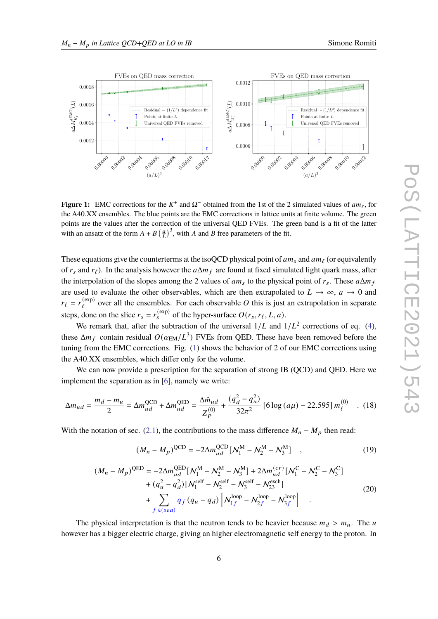<span id="page-5-0"></span>

**Figure 1:** EMC corrections for the  $K^+$  and  $\Omega^-$  obtained from the 1st of the 2 simulated values of  $am_s$ , for the A40.XX ensembles. The blue points are the EMC corrections in lattice units at finite volume. The green points are the values after the correction of the universal QED FVEs. The green band is a fit of the latter with an ansatz of the form  $A + B\left(\frac{a}{L}\right)^3$ , with A and B free parameters of the fit.

These equations give the counterterms at the isoQCD physical point of  $am_s$  and  $am_\ell$  (or equivalently of  $r_s$  and  $r_\ell$ ). In the analysis however the  $a\Delta m_f$  are found at fixed simulated light quark mass, after the interpolation of the slopes among the 2 values of  $am_s$  to the physical point of  $r_s$ . These  $a\Delta m_f$ are used to evaluate the other observables, which are then extrapolated to  $L \rightarrow \infty$ ,  $a \rightarrow 0$  and  $r_{\ell} = r_{\ell}^{(\exp)}$  $\binom{exp}{\ell}$  over all the ensembles. For each observable O this is just an extrapolation in separate steps, done on the slice  $r_s = r_s^{(exp)}$  of the hyper-surface  $O(r_s, r_\ell, L, a)$ .

We remark that, after the subtraction of the universal  $1/L$  and  $1/L^2$  corrections of eq. [\(4\)](#page-2-1), these  $\Delta m_f$  contain residual  $O(\alpha_{EM}/L^3)$  FVEs from QED. These have been removed before the tuning from the EMC corrections. Fig. [\(1\)](#page-5-0) shows the behavior of 2 of our EMC corrections using the A40.XX ensembles, which differ only for the volume.

We can now provide a prescription for the separation of strong IB (QCD) and QED. Here we implement the separation as in [\[6\]](#page-10-0), namely we write:

$$
\Delta m_{ud} = \frac{m_d - m_u}{2} = \Delta m_{ud}^{\text{QCD}} + \Delta m_{ud}^{\text{QED}} = \frac{\Delta \hat{m}_{ud}}{Z_P^{(0)}} + \frac{(q_d^2 - q_u^2)}{32\pi^2} \left[ 6 \log (a\mu) - 22.595 \right] m_{\ell}^{(0)} \quad . \tag{18}
$$

With the notation of sec. [\(2.1\)](#page-3-0), the contributions to the mass difference  $M_n - M_p$  then read:

<span id="page-5-1"></span>
$$
(M_n - M_p)^{QCD} = -2\Delta m_{ud}^{QCD} [N_1^M - N_2^M - N_3^M] , \qquad (19)
$$

<span id="page-5-2"></span>
$$
(M_n - M_p)^{\text{QED}} = -2\Delta m_{ud}^{\text{QED}} [N_1^{\text{M}} - N_2^{\text{M}} - N_3^{\text{M}}] + 2\Delta m_{ud}^{(cr)} [N_1^{\text{C}} - N_2^{\text{C}} - N_3^{\text{C}}] + (q_u^2 - q_d^2) [N_1^{\text{self}} - N_2^{\text{self}} - N_3^{\text{self}} - N_{23}^{\text{exch}}] + \sum_{f \in (sea)} q_f (q_u - q_d) [N_{1f}^{\text{loop}} - N_{2f}^{\text{loop}} - N_{3f}^{\text{loop}}]
$$
(20)

The physical interpretation is that the neutron tends to be heavier because  $m_d > m_u$ . The u however has a bigger electric charge, giving an higher electromagnetic self energy to the proton. In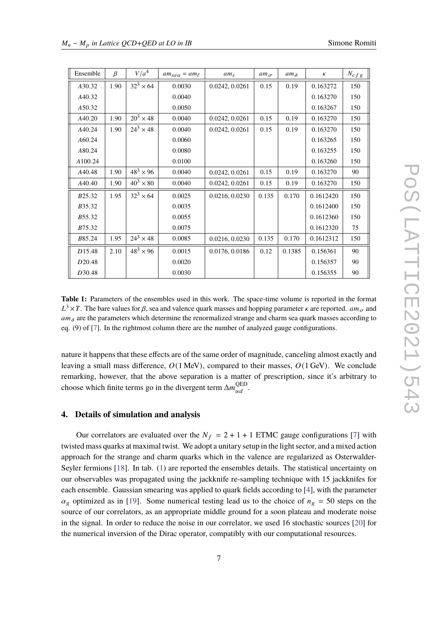<span id="page-6-1"></span>

| Ensemble           | $\beta$ | V/a <sup>4</sup> | $am_{sea} = am_\ell$ | $am_s$         | $am_{\sigma}$ | $am_{\delta}$ | К         | $N_{cf. g}$ |
|--------------------|---------|------------------|----------------------|----------------|---------------|---------------|-----------|-------------|
| A30.32             | 1.90    | $32^3 \times 64$ | 0.0030               | 0.0242, 0.0261 | 0.15          | 0.19          | 0.163272  | 150         |
| A40.32             |         |                  | 0.0040               |                |               |               | 0.163270  | 150         |
| A50.32             |         |                  | 0.0050               |                |               |               | 0.163267  | 150         |
| A40.20             | 1.90    | $20^3 \times 48$ | 0.0040               | 0.0242, 0.0261 | 0.15          | 0.19          | 0.163270  | 150         |
| A40.24             | 1.90    | $24^3 \times 48$ | 0.0040               | 0.0242, 0.0261 | 0.15          | 0.19          | 0.163270  | 150         |
| A60.24             |         |                  | 0.0060               |                |               |               | 0.163265  | 150         |
| A80.24             |         |                  | 0.0080               |                |               |               | 0.163255  | 150         |
| A100.24            |         |                  | 0.0100               |                |               |               | 0.163260  | 150         |
| A40.48             | 1.90    | $48^3 \times 96$ | 0.0040               | 0.0242, 0.0261 | 0.15          | 0.19          | 0.163270  | 90          |
| A40.40             | 1.90    | $40^3 \times 80$ | 0.0040               | 0.0242, 0.0261 | 0.15          | 0.19          | 0.163270  | 150         |
| B <sub>25.32</sub> | 1.95    | $32^3 \times 64$ | 0.0025               | 0.0216, 0.0230 | 0.135         | 0.170         | 0.1612420 | 150         |
| B35.32             |         |                  | 0.0035               |                |               |               | 0.1612400 | 150         |
| B55.32             |         |                  | 0.0055               |                |               |               | 0.1612360 | 150         |
| <i>B</i> 75.32     |         |                  | 0.0075               |                |               |               | 0.1612320 | 75          |
| B85.24             | 1.95    | $24^3 \times 48$ | 0.0085               | 0.0216, 0.0230 | 0.135         | 0.170         | 0.1612312 | 150         |
| D <sub>15.48</sub> | 2.10    | $48^3 \times 96$ | 0.0015               | 0.0176, 0.0186 | 0.12          | 0.1385        | 0.156361  | 90          |
| D <sub>20.48</sub> |         |                  | 0.0020               |                |               |               | 0.156357  | 90          |
| D <sub>30.48</sub> |         |                  | 0.0030               |                |               |               | 0.156355  | 90          |

**Table 1:** Parameters of the ensembles used in this work. The space-time volume is reported in the format  $L^3 \times T$ . The bare values for  $\beta$ , sea and valence quark masses and hopping parameter  $\kappa$  are reported.  $am_{\sigma}$  and  $am_{\delta}$  are the parameters which determine the renormalized strange and charm sea quark masses according to eq. (9) of [\[7\]](#page-10-1). In the rightmost column there are the number of analyzed gauge configurations.

nature it happens that these effects are of the same order of magnitude, canceling almost exactly and leaving a small mass difference,  $O(1 \text{ MeV})$ , compared to their masses,  $O(1 \text{ GeV})$ . We conclude remarking, however, that the above separation is a matter of prescription, since it's arbitrary to choose which finite terms go in the divergent term  $\Delta m_{ud}^{\text{QED}}$ .

### <span id="page-6-0"></span>**4. Details of simulation and analysis**

Our correlators are evaluated over the  $N_f = 2 + 1 + 1$  ETMC gauge configurations [\[7\]](#page-10-1) with twisted mass quarks at maximal twist. We adopt a unitary setup in the light sector, and a mixed action approach for the strange and charm quarks which in the valence are regularized as Osterwalder-Seyler fermions [\[18\]](#page-10-11). In tab. [\(1\)](#page-6-1) are reported the ensembles details. The statistical uncertainty on our observables was propagated using the jackknife re-sampling technique with 15 jackknifes for each ensemble. Gaussian smearing was applied to quark fields according to [\[4\]](#page-9-3), with the parameter  $\alpha_g$  optimized as in [\[19\]](#page-10-12). Some numerical testing lead us to the choice of  $n_g = 50$  steps on the source of our correlators, as an appropriate middle ground for a soon plateau and moderate noise in the signal. In order to reduce the noise in our correlator, we used 16 stochastic sources [\[20\]](#page-11-0) for the numerical inversion of the Dirac operator, compatibly with our computational resources.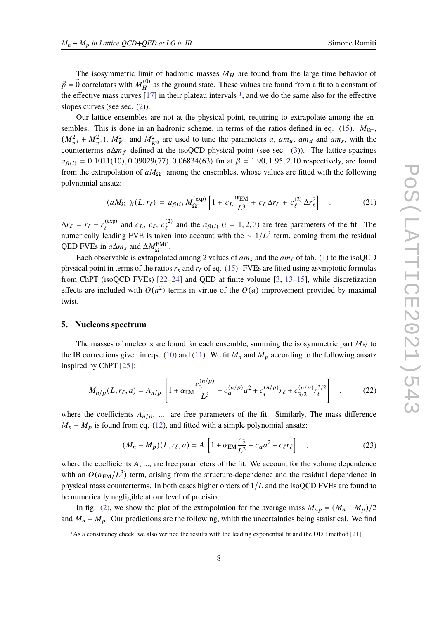The isosymmetric limit of hadronic masses  $M_H$  are found from the large time behavior of  $\vec{p} = \vec{0}$  correlators with  $M_H^{(0)}$  as the ground state. These values are found from a fit to a constant of the effective mass curves  $[17]$  in their plateau intervals  $\frac{1}{1}$  $\frac{1}{1}$  $\frac{1}{1}$ , and we do the same also for the effective slopes curves (see sec. [\(2\)](#page-1-0)).

Our lattice ensembles are not at the physical point, requiring to extrapolate among the en-sembles. This is done in an hadronic scheme, in terms of the ratios defined in eq. [\(15\)](#page-4-1).  $M_{\Omega}$ -,  $(M_{\pi^+}^2 + M_{\pi^+}^2)$ ,  $M_{K^+}^2$  and  $M_{K^0}^2$  are used to tune the parameters a, am<sub>u</sub>, am<sub>d</sub> and am<sub>s</sub>, with the counterterms  $a\Delta m_f$  defined at the isoQCD physical point (see sec. [\(3\)](#page-4-0)). The lattice spacings  $a_{\beta(i)} = 0.1011(10), 0.09029(77), 0.06834(63)$  fm at  $\beta = 1.90, 1.95, 2.10$  respectively, are found from the extrapolation of  $aM_{\Omega}$ - among the ensembles, whose values are fitted with the following polynomial ansatz:

$$
(aM_{\Omega^-})_i(L,r_\ell) = a_{\beta(i)} M_{\Omega^-}^{\text{(exp)}} \left[ 1 + c_L \frac{\alpha_{\text{EM}}}{L^3} + c_\ell \Delta r_\ell + c_\ell^{(2)} \Delta r_\ell^2 \right] \quad . \tag{21}
$$

 $\Delta r_{\ell} = r_{\ell} - r_{\ell}^{(\exp)}$  $\epsilon_{\ell}^{(\exp)}$  and  $c_L$ ,  $c_{\ell}$ ,  $c_{\ell}^{(2)}$  $\ell_{\ell}^{(2)}$  and the  $a_{\beta(i)}$  ( $i = 1, 2, 3$ ) are free parameters of the fit. The numerically leading FVE is taken into account with the  $\sim 1/L^3$  term, coming from the residual QED FVEs in  $a\Delta m_s$  and  $\Delta M_{\Omega^-}^{\text{EMC}}$ .

Each observable is extrapolated among 2 values of  $am_s$  and the  $am_\ell$  of tab. [\(1\)](#page-6-1) to the isoQCD physical point in terms of the ratios  $r_s$  and  $r_\ell$  of eq. [\(15\)](#page-4-1). FVEs are fitted using asymptotic formulas from ChPT (isoQCD FVEs) [\[22](#page-11-1)[–24\]](#page-11-2) and QED at finite volume [\[3,](#page-9-2) [13–](#page-10-7)[15\]](#page-10-8), while discretization effects are included with  $O(a^2)$  terms in virtue of the  $O(a)$  improvement provided by maximal twist.

### <span id="page-7-0"></span>**5. Nucleons spectrum**

The masses of nucleons are found for each ensemble, summing the isosymmetric part  $M_N$  to the IB corrections given in eqs. [\(10\)](#page-3-1) and [\(11\)](#page-3-2). We fit  $M_n$  and  $M_p$  according to the following ansatz inspired by ChPT [\[25\]](#page-11-3):

$$
M_{n/p}(L, r_{\ell}, a) = A_{n/p} \left[ 1 + \alpha_{\rm EM} \frac{c_3^{(n/p)}}{L^3} + c_a^{(n/p)} a^2 + c_{\ell}^{(n/p)} r_{\ell} + c_{3/2}^{(n/p)} r_{\ell}^{3/2} \right] , \qquad (22)
$$

where the coefficients  $A_{n/p}$ , ... are free parameters of the fit. Similarly, The mass difference  $M_n - M_p$  is found from eq. [\(12\)](#page-3-3), and fitted with a simple polynomial ansatz:

<span id="page-7-2"></span>
$$
(M_n - M_p)(L, r_\ell, a) = A \left[ 1 + \alpha_{\text{EM}} \frac{c_3}{L^3} + c_a a^2 + c_\ell r_\ell \right] , \qquad (23)
$$

where the coefficients  $A$ , ..., are free parameters of the fit. We account for the volume dependence with an  $O(\alpha_{EM}/L^3)$  term, arising from the structure-dependence and the residual dependence in physical mass counterterms. In both cases higher orders of  $1/L$  and the isoQCD FVEs are found to be numerically negligible at our level of precision.

In fig. [\(2\)](#page-8-1), we show the plot of the extrapolation for the average mass  $M_{np} = (M_n + M_p)/2$ and  $M_n - M_p$ . Our predictions are the following, whith the uncertainties being statistical. We find

<span id="page-7-1"></span><sup>1</sup>As a consistency check, we also verified the results with the leading exponential fit and the ODE method [\[21\]](#page-11-4).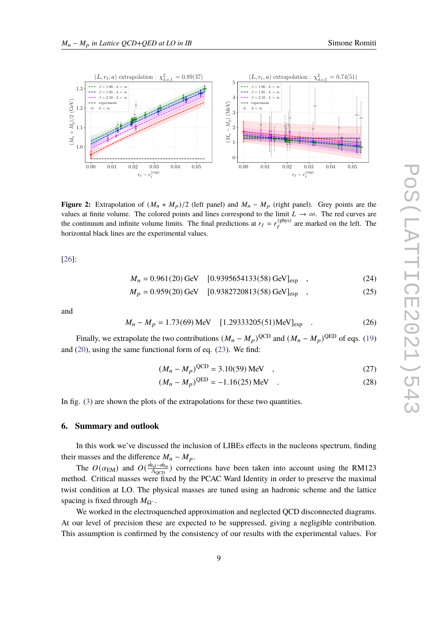

<span id="page-8-1"></span>

**Figure 2:** Extrapolation of  $(M_n + M_p)/2$  (left panel) and  $M_n - M_p$  (right panel). Grey points are the values at finite volume. The colored points and lines correspond to the limit  $L \to \infty$ . The red curves are the continuum and infinite volume limits. The final predictions at  $r_\ell = r_\ell^{(\text{phys})}$  are marked on the left. The horizontal black lines are the experimental values.

[\[26\]](#page-11-5):

$$
M_n = 0.961(20) \text{ GeV} \quad [0.9395654133(58) \text{ GeV}]_{\text{exp}} \quad , \tag{24}
$$

$$
M_p = 0.959(20) \text{ GeV} \quad [0.9382720813(58) \text{ GeV}]_{\text{exp}} \quad , \tag{25}
$$

and

$$
M_n - M_p = 1.73(69) \text{ MeV} \quad [1.29333205(51) \text{ MeV}]_{\text{exp}} \quad . \tag{26}
$$

Finally, we extrapolate the two contributions  $(M_n - M_p)^{QCD}$  and  $(M_n - M_p)^{QED}$  of eqs. [\(19\)](#page-5-1) and [\(20\)](#page-5-2), using the same functional form of eq. [\(23\)](#page-7-2). We find:

$$
(M_n - M_p)^{\text{QCD}} = 3.10(59) \text{ MeV} \quad , \tag{27}
$$

$$
(M_n - M_p)^{\text{QED}} = -1.16(25) \text{ MeV} \quad . \tag{28}
$$

In fig. [\(3\)](#page-9-4) are shown the plots of the extrapolations for these two quantities.

#### <span id="page-8-0"></span>**6. Summary and outlook**

In this work we've discussed the inclusion of LIBEs effects in the nucleons spectrum, finding their masses and the difference  $M_n - M_p$ .

The  $O(\alpha_{\text{EM}})$  and  $O(\frac{\hat{m}_d - \hat{m}_u}{\Delta \cos \alpha})$  $\frac{\hat{h}_d - \hat{m}_u}{\Lambda_{\text{OCD}}}$ ) corrections have been taken into account using the RM123 method. Critical masses were fixed by the PCAC Ward Identity in order to preserve the maximal twist condition at LO. The physical masses are tuned using an hadronic scheme and the lattice spacing is fixed through  $M_{\Omega^-}$ .

We worked in the electroquenched approximation and neglected QCD disconnected diagrams. At our level of precision these are expected to be suppressed, giving a negligible contribution. This assumption is confirmed by the consistency of our results with the experimental values. For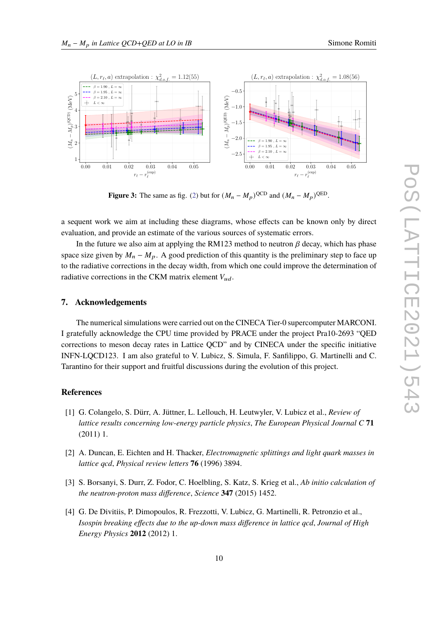<span id="page-9-4"></span>

**Figure 3:** The same as fig. [\(2\)](#page-8-1) but for  $(M_n - M_p)^{\text{QCD}}$  and  $(M_n - M_p)^{\text{QED}}$ .

a sequent work we aim at including these diagrams, whose effects can be known only by direct evaluation, and provide an estimate of the various sources of systematic errors.

In the future we also aim at applying the RM123 method to neutron  $\beta$  decay, which has phase space size given by  $M_n - M_n$ . A good prediction of this quantity is the preliminary step to face up to the radiative corrections in the decay width, from which one could improve the determination of radiative corrections in the CKM matrix element  $V_{ud}$ .

### **7. Acknowledgements**

The numerical simulations were carried out on the CINECA Tier-0 supercomputer MARCONI. I gratefully acknowledge the CPU time provided by PRACE under the project Pra10-2693 "QED corrections to meson decay rates in Lattice QCD" and by CINECA under the specific initiative INFN-LQCD123. I am also grateful to V. Lubicz, S. Simula, F. Sanfilippo, G. Martinelli and C. Tarantino for their support and fruitful discussions during the evolution of this project.

# **References**

- <span id="page-9-0"></span>[1] G. Colangelo, S. Dürr, A. Jüttner, L. Lellouch, H. Leutwyler, V. Lubicz et al., *Review of lattice results concerning low-energy particle physics*, *The European Physical Journal C* **71** (2011) 1.
- <span id="page-9-1"></span>[2] A. Duncan, E. Eichten and H. Thacker, *Electromagnetic splittings and light quark masses in lattice qcd*, *Physical review letters* **76** (1996) 3894.
- <span id="page-9-2"></span>[3] S. Borsanyi, S. Durr, Z. Fodor, C. Hoelbling, S. Katz, S. Krieg et al., *Ab initio calculation of the neutron-proton mass difference*, *Science* **347** (2015) 1452.
- <span id="page-9-3"></span>[4] G. De Divitiis, P. Dimopoulos, R. Frezzotti, V. Lubicz, G. Martinelli, R. Petronzio et al., *Isospin breaking effects due to the up-down mass difference in lattice qcd*, *Journal of High Energy Physics* **2012** (2012) 1.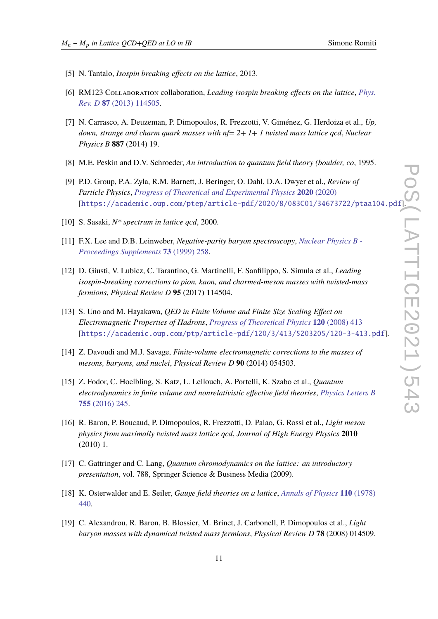- [5] N. Tantalo, *Isospin breaking effects on the lattice*, 2013.
- <span id="page-10-0"></span>[6] RM123 Collaboration collaboration, *Leading isospin breaking effects on the lattice*, *[Phys.](https://doi.org/10.1103/PhysRevD.87.114505) Rev. D* **87** [\(2013\) 114505.](https://doi.org/10.1103/PhysRevD.87.114505)
- <span id="page-10-1"></span>[7] N. Carrasco, A. Deuzeman, P. Dimopoulos, R. Frezzotti, V. Giménez, G. Herdoiza et al., *Up, down, strange and charm quark masses with nf= 2+ 1+ 1 twisted mass lattice qcd*, *Nuclear Physics B* **887** (2014) 19.
- <span id="page-10-2"></span>[8] M.E. Peskin and D.V. Schroeder, *An introduction to quantum field theory (boulder, co*, 1995.
- <span id="page-10-3"></span>[9] P.D. Group, P.A. Zyla, R.M. Barnett, J. Beringer, O. Dahl, D.A. Dwyer et al., *Review of Particle Physics*, *[Progress of Theoretical and Experimental Physics](https://doi.org/10.1093/ptep/ptaa104)* **2020** (2020) [[https://academic.oup.com/ptep/article-pdf/2020/8/083C01/34673722/ptaa104.pdf](https://arxiv.org/abs/https://academic.oup.com/ptep/article-pdf/2020/8/083C01/34673722/ptaa104.pdf)].
- <span id="page-10-4"></span>[10] S. Sasaki, *N\* spectrum in lattice qcd*, 2000.
- <span id="page-10-5"></span>[11] F.X. Lee and D.B. Leinweber, *Negative-parity baryon spectroscopy*, *[Nuclear Physics B -](https://doi.org/10.1016/s0920-5632(99)85041-5) [Proceedings Supplements](https://doi.org/10.1016/s0920-5632(99)85041-5)* **73** (1999) 258.
- <span id="page-10-6"></span>[12] D. Giusti, V. Lubicz, C. Tarantino, G. Martinelli, F. Sanfilippo, S. Simula et al., *Leading isospin-breaking corrections to pion, kaon, and charmed-meson masses with twisted-mass fermions*, *Physical Review D* **95** (2017) 114504.
- <span id="page-10-7"></span>[13] S. Uno and M. Hayakawa, *QED in Finite Volume and Finite Size Scaling Effect on Electromagnetic Properties of Hadrons*, *[Progress of Theoretical Physics](https://doi.org/10.1143/PTP.120.413)* **120** (2008) 413 [[https://academic.oup.com/ptp/article-pdf/120/3/413/5203205/120-3-413.pdf](https://arxiv.org/abs/https://academic.oup.com/ptp/article-pdf/120/3/413/5203205/120-3-413.pdf)].
- [14] Z. Davoudi and M.J. Savage, *Finite-volume electromagnetic corrections to the masses of mesons, baryons, and nuclei*, *Physical Review D* **90** (2014) 054503.
- <span id="page-10-8"></span>[15] Z. Fodor, C. Hoelbling, S. Katz, L. Lellouch, A. Portelli, K. Szabo et al., *Quantum electrodynamics in finite volume and nonrelativistic effective field theories*, *[Physics Letters B](https://doi.org/https://doi.org/10.1016/j.physletb.2016.01.047)* **755** [\(2016\) 245.](https://doi.org/https://doi.org/10.1016/j.physletb.2016.01.047)
- <span id="page-10-9"></span>[16] R. Baron, P. Boucaud, P. Dimopoulos, R. Frezzotti, D. Palao, G. Rossi et al., *Light meson physics from maximally twisted mass lattice qcd*, *Journal of High Energy Physics* **2010** (2010) 1.
- <span id="page-10-10"></span>[17] C. Gattringer and C. Lang, *Quantum chromodynamics on the lattice: an introductory presentation*, vol. 788, Springer Science & Business Media (2009).
- <span id="page-10-11"></span>[18] K. Osterwalder and E. Seiler, *Gauge field theories on a lattice*, *[Annals of Physics](https://doi.org/https://doi.org/10.1016/0003-4916(78)90039-8)* **110** (1978) [440.](https://doi.org/https://doi.org/10.1016/0003-4916(78)90039-8)
- <span id="page-10-12"></span>[19] C. Alexandrou, R. Baron, B. Blossier, M. Brinet, J. Carbonell, P. Dimopoulos et al., *Light baryon masses with dynamical twisted mass fermions*, *Physical Review D* **78** (2008) 014509.